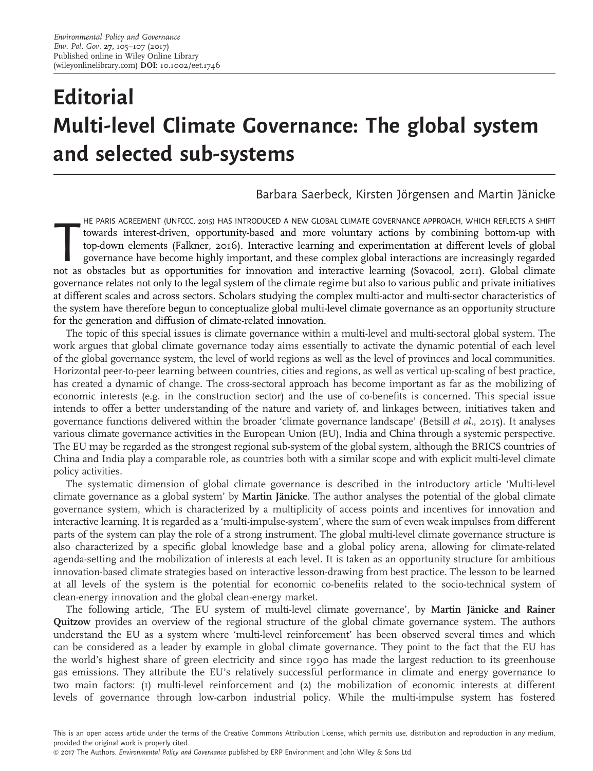## **Editorial** Multi-level Climate Governance: The global system and selected sub-systems

## Barbara Saerbeck, Kirsten Jörgensen and Martin Jänicke

HE PARIS AGREEMENT (UNFCCC, 2015) HAS INTRODUCED A NEW GLOBAL CLIMATE GOVERNANCE APPROACH, WHICH REFLECTS A SHIFT towards interest-driven, opportunity-based and more voluntary actions by combining bottom-up with top-down e HE PARIS AGREEMENT (UNFCCC, 2015) HAS INTRODUCED A NEW GLOBAL CLIMATE GOVERNANCE APPROACH, WHICH REFLECTS A SHIFT towards interest-driven, opportunity-based and more voluntary actions by combining bottom-up with top-down elements (Falkner, 2016). Interactive learning and experimentation at different levels of global governance have become highly important, and these complex global interactions are increasingly regarded governance relates not only to the legal system of the climate regime but also to various public and private initiatives at different scales and across sectors. Scholars studying the complex multi-actor and multi-sector characteristics of the system have therefore begun to conceptualize global multi-level climate governance as an opportunity structure for the generation and diffusion of climate-related innovation.

The topic of this special issues is climate governance within a multi-level and multi-sectoral global system. The work argues that global climate governance today aims essentially to activate the dynamic potential of each level of the global governance system, the level of world regions as well as the level of provinces and local communities. Horizontal peer-to-peer learning between countries, cities and regions, as well as vertical up-scaling of best practice, has created a dynamic of change. The cross-sectoral approach has become important as far as the mobilizing of economic interests (e.g. in the construction sector) and the use of co-benefits is concerned. This special issue intends to offer a better understanding of the nature and variety of, and linkages between, initiatives taken and governance functions delivered within the broader 'climate governance landscape' (Betsill et al., 2015). It analyses various climate governance activities in the European Union (EU), India and China through a systemic perspective. The EU may be regarded as the strongest regional sub-system of the global system, although the BRICS countries of China and India play a comparable role, as countries both with a similar scope and with explicit multi-level climate policy activities.

The systematic dimension of global climate governance is described in the introductory article 'Multi-level climate governance as a global system' by **Martin Jänicke**. The author analyses the potential of the global climate governance system, which is characterized by a multiplicity of access points and incentives for innovation and interactive learning. It is regarded as a 'multi-impulse-system', where the sum of even weak impulses from different parts of the system can play the role of a strong instrument. The global multi-level climate governance structure is also characterized by a specific global knowledge base and a global policy arena, allowing for climate-related agenda-setting and the mobilization of interests at each level. It is taken as an opportunity structure for ambitious innovation-based climate strategies based on interactive lesson-drawing from best practice. The lesson to be learned at all levels of the system is the potential for economic co-benefits related to the socio-technical system of clean-energy innovation and the global clean-energy market.

The following article, 'The EU system of multi-level climate governance', by Martin Jänicke and Rainer Quitzow provides an overview of the regional structure of the global climate governance system. The authors understand the EU as a system where 'multi-level reinforcement' has been observed several times and which can be considered as a leader by example in global climate governance. They point to the fact that the EU has the world's highest share of green electricity and since 1990 has made the largest reduction to its greenhouse gas emissions. They attribute the EU's relatively successful performance in climate and energy governance to two main factors: (1) multi-level reinforcement and (2) the mobilization of economic interests at different levels of governance through low-carbon industrial policy. While the multi-impulse system has fostered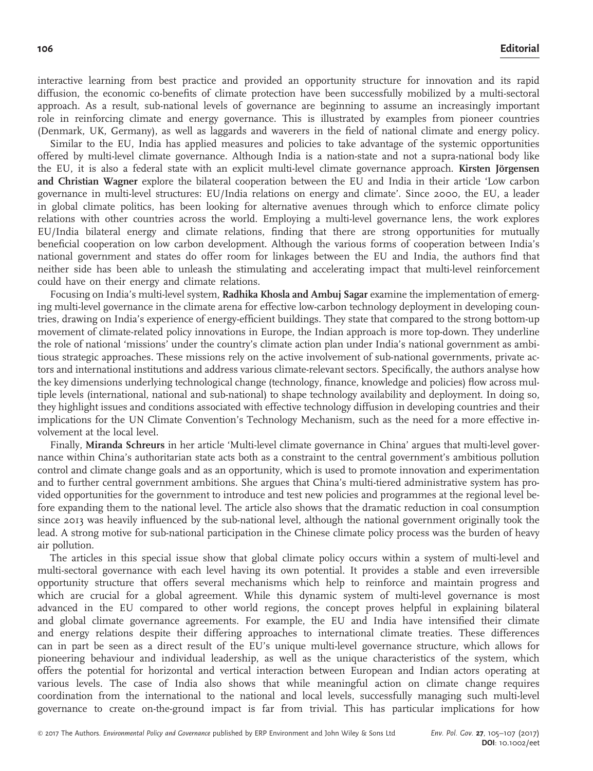interactive learning from best practice and provided an opportunity structure for innovation and its rapid diffusion, the economic co-benefits of climate protection have been successfully mobilized by a multi-sectoral approach. As a result, sub-national levels of governance are beginning to assume an increasingly important role in reinforcing climate and energy governance. This is illustrated by examples from pioneer countries (Denmark, UK, Germany), as well as laggards and waverers in the field of national climate and energy policy.

Similar to the EU, India has applied measures and policies to take advantage of the systemic opportunities offered by multi-level climate governance. Although India is a nation-state and not a supra-national body like the EU, it is also a federal state with an explicit multi-level climate governance approach. Kirsten Jörgensen and Christian Wagner explore the bilateral cooperation between the EU and India in their article 'Low carbon governance in multi-level structures: EU/India relations on energy and climate'. Since 2000, the EU, a leader in global climate politics, has been looking for alternative avenues through which to enforce climate policy relations with other countries across the world. Employing a multi-level governance lens, the work explores EU/India bilateral energy and climate relations, finding that there are strong opportunities for mutually beneficial cooperation on low carbon development. Although the various forms of cooperation between India's national government and states do offer room for linkages between the EU and India, the authors find that neither side has been able to unleash the stimulating and accelerating impact that multi-level reinforcement could have on their energy and climate relations.

Focusing on India's multi-level system, Radhika Khosla and Ambuj Sagar examine the implementation of emerging multi-level governance in the climate arena for effective low-carbon technology deployment in developing countries, drawing on India's experience of energy-efficient buildings. They state that compared to the strong bottom-up movement of climate-related policy innovations in Europe, the Indian approach is more top-down. They underline the role of national 'missions' under the country's climate action plan under India's national government as ambitious strategic approaches. These missions rely on the active involvement of sub-national governments, private actors and international institutions and address various climate-relevant sectors. Specifically, the authors analyse how the key dimensions underlying technological change (technology, finance, knowledge and policies) flow across multiple levels (international, national and sub-national) to shape technology availability and deployment. In doing so, they highlight issues and conditions associated with effective technology diffusion in developing countries and their implications for the UN Climate Convention's Technology Mechanism, such as the need for a more effective involvement at the local level.

Finally, Miranda Schreurs in her article 'Multi-level climate governance in China' argues that multi-level governance within China's authoritarian state acts both as a constraint to the central government's ambitious pollution control and climate change goals and as an opportunity, which is used to promote innovation and experimentation and to further central government ambitions. She argues that China's multi-tiered administrative system has provided opportunities for the government to introduce and test new policies and programmes at the regional level before expanding them to the national level. The article also shows that the dramatic reduction in coal consumption since 2013 was heavily influenced by the sub-national level, although the national government originally took the lead. A strong motive for sub-national participation in the Chinese climate policy process was the burden of heavy air pollution.

The articles in this special issue show that global climate policy occurs within a system of multi-level and multi-sectoral governance with each level having its own potential. It provides a stable and even irreversible opportunity structure that offers several mechanisms which help to reinforce and maintain progress and which are crucial for a global agreement. While this dynamic system of multi-level governance is most advanced in the EU compared to other world regions, the concept proves helpful in explaining bilateral and global climate governance agreements. For example, the EU and India have intensified their climate and energy relations despite their differing approaches to international climate treaties. These differences can in part be seen as a direct result of the EU's unique multi-level governance structure, which allows for pioneering behaviour and individual leadership, as well as the unique characteristics of the system, which offers the potential for horizontal and vertical interaction between European and Indian actors operating at various levels. The case of India also shows that while meaningful action on climate change requires coordination from the international to the national and local levels, successfully managing such multi-level governance to create on-the-ground impact is far from trivial. This has particular implications for how